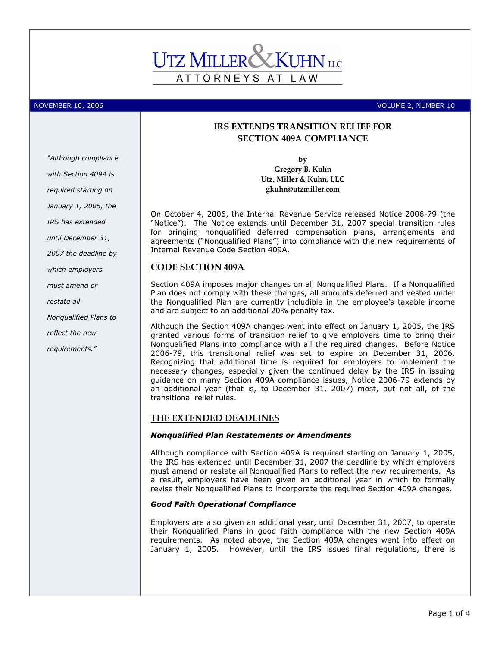# ATTORNEYS AT LAW

NOVEMBER 10, 2006 **VOLUME 2, NUMBER 10** 

## "Although compliance with Section 409A is required starting on January 1, 2005, the IRS has extended until December 31, 2007 the deadline by which employers must amend or restate all Nonqualified Plans to reflect the new requirements."

### IRS EXTENDS TRANSITION RELIEF FOR SECTION 409A COMPLIANCE

by

Gregory B. Kuhn Utz, Miller & Kuhn, LLC gkuhn@utzmiller.com

On October 4, 2006, the Internal Revenue Service released Notice 2006-79 (the "Notice"). The Notice extends until December 31, 2007 special transition rules for bringing nonqualified deferred compensation plans, arrangements and agreements ("Nonqualified Plans") into compliance with the new requirements of Internal Revenue Code Section 409A.

#### CODE SECTION 409A

Section 409A imposes major changes on all Nonqualified Plans. If a Nonqualified Plan does not comply with these changes, all amounts deferred and vested under the Nonqualified Plan are currently includible in the employee's taxable income and are subject to an additional 20% penalty tax.

Although the Section 409A changes went into effect on January 1, 2005, the IRS granted various forms of transition relief to give employers time to bring their Nonqualified Plans into compliance with all the required changes. Before Notice 2006-79, this transitional relief was set to expire on December 31, 2006. Recognizing that additional time is required for employers to implement the necessary changes, especially given the continued delay by the IRS in issuing guidance on many Section 409A compliance issues, Notice 2006-79 extends by an additional year (that is, to December 31, 2007) most, but not all, of the transitional relief rules.

#### THE EXTENDED DEADLINES

#### Nonqualified Plan Restatements or Amendments

Although compliance with Section 409A is required starting on January 1, 2005, the IRS has extended until December 31, 2007 the deadline by which employers must amend or restate all Nonqualified Plans to reflect the new requirements. As a result, employers have been given an additional year in which to formally revise their Nonqualified Plans to incorporate the required Section 409A changes.

#### Good Faith Operational Compliance

Employers are also given an additional year, until December 31, 2007, to operate their Nonqualified Plans in good faith compliance with the new Section 409A requirements. As noted above, the Section 409A changes went into effect on January 1, 2005. However, until the IRS issues final regulations, there is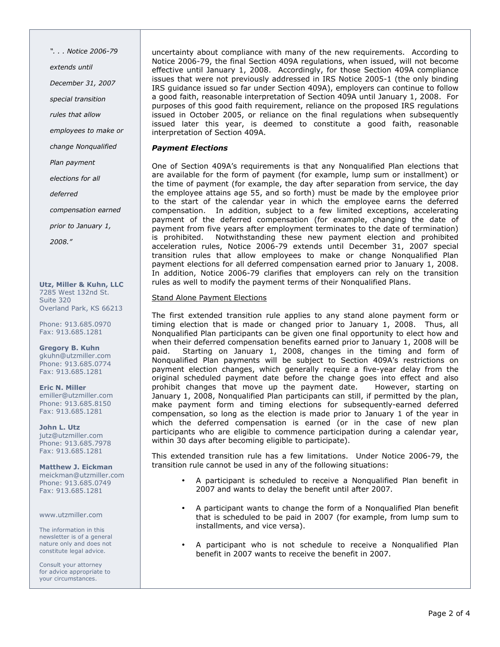". . . Notice 2006-79 extends until December 31, 2007 special transition rules that allow employees to make or change Nonqualified Plan payment elections for all deferred compensation earned prior to January 1, 2008."

Utz, Miller & Kuhn, LLC 7285 West 132nd St. Suite 320 Overland Park, KS 66213

Phone: 913.685.0970 Fax: 913.685.1281

Gregory B. Kuhn gkuhn@utzmiller.com Phone: 913.685.0774 Fax: 913.685.1281

Eric N. Miller emiller@utzmiller.com Phone: 913.685.8150 Fax: 913.685.1281

John L. Utz jutz@utzmiller.com Phone: 913.685.7978 Fax: 913.685.1281

Matthew J. Eickman meickman@utzmiller.com Phone: 913.685.0749 Fax: 913.685.1281

www.utzmiller.com

The information in this newsletter is of a general nature only and does not constitute legal advice.

Consult your attorney for advice appropriate to your circumstances.

uncertainty about compliance with many of the new requirements. According to Notice 2006-79, the final Section 409A regulations, when issued, will not become effective until January 1, 2008. Accordingly, for those Section 409A compliance issues that were not previously addressed in IRS Notice 2005-1 (the only binding IRS guidance issued so far under Section 409A), employers can continue to follow a good faith, reasonable interpretation of Section 409A until January 1, 2008. For purposes of this good faith requirement, reliance on the proposed IRS regulations issued in October 2005, or reliance on the final regulations when subsequently issued later this year, is deemed to constitute a good faith, reasonable interpretation of Section 409A.

#### Payment Elections

One of Section 409A's requirements is that any Nonqualified Plan elections that are available for the form of payment (for example, lump sum or installment) or the time of payment (for example, the day after separation from service, the day the employee attains age 55, and so forth) must be made by the employee prior to the start of the calendar year in which the employee earns the deferred compensation. In addition, subject to a few limited exceptions, accelerating payment of the deferred compensation (for example, changing the date of payment from five years after employment terminates to the date of termination) is prohibited. Notwithstanding these new payment election and prohibited acceleration rules, Notice 2006-79 extends until December 31, 2007 special transition rules that allow employees to make or change Nonqualified Plan payment elections for all deferred compensation earned prior to January 1, 2008. In addition, Notice 2006-79 clarifies that employers can rely on the transition rules as well to modify the payment terms of their Nonqualified Plans.

#### Stand Alone Payment Elections

The first extended transition rule applies to any stand alone payment form or timing election that is made or changed prior to January 1, 2008. Thus, all Nonqualified Plan participants can be given one final opportunity to elect how and when their deferred compensation benefits earned prior to January 1, 2008 will be paid. Starting on January 1, 2008, changes in the timing and form of Nonqualified Plan payments will be subject to Section 409A's restrictions on payment election changes, which generally require a five-year delay from the original scheduled payment date before the change goes into effect and also prohibit changes that move up the payment date. However, starting on January 1, 2008, Nonqualified Plan participants can still, if permitted by the plan, make payment form and timing elections for subsequently-earned deferred compensation, so long as the election is made prior to January 1 of the year in which the deferred compensation is earned (or in the case of new plan participants who are eligible to commence participation during a calendar year, within 30 days after becoming eligible to participate).

This extended transition rule has a few limitations. Under Notice 2006-79, the transition rule cannot be used in any of the following situations:

- A participant is scheduled to receive a Nonqualified Plan benefit in 2007 and wants to delay the benefit until after 2007.
- A participant wants to change the form of a Nonqualified Plan benefit that is scheduled to be paid in 2007 (for example, from lump sum to installments, and vice versa).
- A participant who is not schedule to receive a Nonqualified Plan benefit in 2007 wants to receive the benefit in 2007.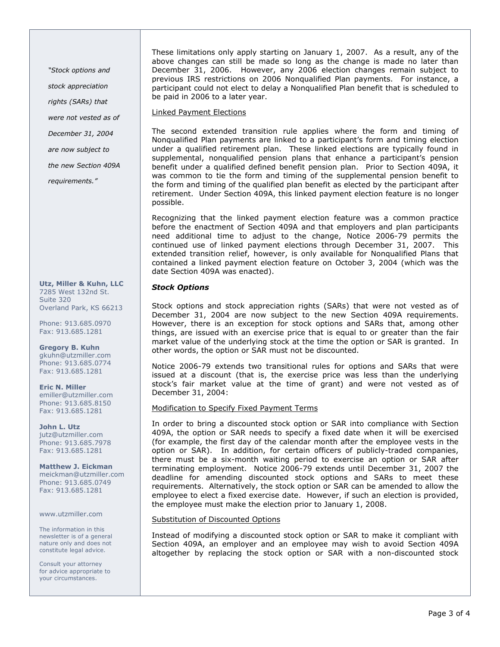"Stock options and

stock appreciation

rights (SARs) that

were not vested as of

December 31, 2004

are now subject to

the new Section 409A

requirements."

Utz, Miller & Kuhn, LLC 7285 West 132nd St. Suite 320 Overland Park, KS 66213

Phone: 913.685.0970 Fax: 913.685.1281

Gregory B. Kuhn gkuhn@utzmiller.com Phone: 913.685.0774 Fax: 913.685.1281

Eric N. Miller emiller@utzmiller.com Phone: 913.685.8150 Fax: 913.685.1281

John L. Utz jutz@utzmiller.com Phone: 913.685.7978 Fax: 913.685.1281

Matthew J. Eickman meickman@utzmiller.com Phone: 913.685.0749 Fax: 913.685.1281

www.utzmiller.com

The information in this newsletter is of a general nature only and does not constitute legal advice.

Consult your attorney for advice appropriate to your circumstances.

These limitations only apply starting on January 1, 2007. As a result, any of the above changes can still be made so long as the change is made no later than December 31, 2006. However, any 2006 election changes remain subject to previous IRS restrictions on 2006 Nonqualified Plan payments. For instance, a participant could not elect to delay a Nonqualified Plan benefit that is scheduled to be paid in 2006 to a later year.

#### Linked Payment Elections

The second extended transition rule applies where the form and timing of Nonqualified Plan payments are linked to a participant's form and timing election under a qualified retirement plan. These linked elections are typically found in supplemental, nonqualified pension plans that enhance a participant's pension benefit under a qualified defined benefit pension plan. Prior to Section 409A, it was common to tie the form and timing of the supplemental pension benefit to the form and timing of the qualified plan benefit as elected by the participant after retirement. Under Section 409A, this linked payment election feature is no longer possible.

Recognizing that the linked payment election feature was a common practice before the enactment of Section 409A and that employers and plan participants need additional time to adjust to the change, Notice 2006-79 permits the continued use of linked payment elections through December 31, 2007. This extended transition relief, however, is only available for Nonqualified Plans that contained a linked payment election feature on October 3, 2004 (which was the date Section 409A was enacted).

#### Stock Options

Stock options and stock appreciation rights (SARs) that were not vested as of December 31, 2004 are now subject to the new Section 409A requirements. However, there is an exception for stock options and SARs that, among other things, are issued with an exercise price that is equal to or greater than the fair market value of the underlying stock at the time the option or SAR is granted. In other words, the option or SAR must not be discounted.

Notice 2006-79 extends two transitional rules for options and SARs that were issued at a discount (that is, the exercise price was less than the underlying stock's fair market value at the time of grant) and were not vested as of December 31, 2004:

#### Modification to Specify Fixed Payment Terms

In order to bring a discounted stock option or SAR into compliance with Section 409A, the option or SAR needs to specify a fixed date when it will be exercised (for example, the first day of the calendar month after the employee vests in the option or SAR). In addition, for certain officers of publicly-traded companies, there must be a six-month waiting period to exercise an option or SAR after terminating employment. Notice 2006-79 extends until December 31, 2007 the deadline for amending discounted stock options and SARs to meet these requirements. Alternatively, the stock option or SAR can be amended to allow the employee to elect a fixed exercise date. However, if such an election is provided, the employee must make the election prior to January 1, 2008.

#### Substitution of Discounted Options

Instead of modifying a discounted stock option or SAR to make it compliant with Section 409A, an employer and an employee may wish to avoid Section 409A altogether by replacing the stock option or SAR with a non-discounted stock